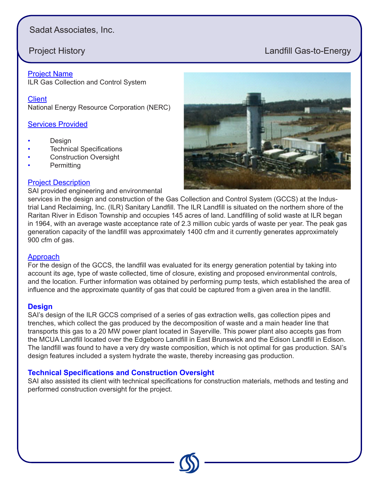# Sadat Associates, Inc.

# **Project History Landfill Gas-to-Energy**

#### Project Name

ILR Gas Collection and Control System

**Client** National Energy Resource Corporation (NERC)

#### **Services Provided**

- Design
- **Technical Specifications**
- **Construction Oversight**
- Permitting

### Project Description

SAI provided engineering and environmental



services in the design and construction of the Gas Collection and Control System (GCCS) at the Industrial Land Reclaiming, Inc. (ILR) Sanitary Landfill. The ILR Landfill is situated on the northern shore of the Raritan River in Edison Township and occupies 145 acres of land. Landfilling of solid waste at ILR began in 1964, with an average waste acceptance rate of 2.3 million cubic yards of waste per year. The peak gas generation capacity of the landfill was approximately 1400 cfm and it currently generates approximately 900 cfm of gas.

#### Approach

For the design of the GCCS, the landfill was evaluated for its energy generation potential by taking into account its age, type of waste collected, time of closure, existing and proposed environmental controls, and the location. Further information was obtained by performing pump tests, which established the area of influence and the approximate quantity of gas that could be captured from a given area in the landfill.

#### **Design**

SAI's design of the ILR GCCS comprised of a series of gas extraction wells, gas collection pipes and trenches, which collect the gas produced by the decomposition of waste and a main header line that transports this gas to a 20 MW power plant located in Sayerville. This power plant also accepts gas from the MCUA Landfill located over the Edgeboro Landfill in East Brunswick and the Edison Landfill in Edison. The landfill was found to have a very dry waste composition, which is not optimal for gas production. SAI's design features included a system hydrate the waste, thereby increasing gas production.

### **Technical Specifications and Construction Oversight**

SAI also assisted its client with technical specifications for construction materials, methods and testing and performed construction oversight for the project.